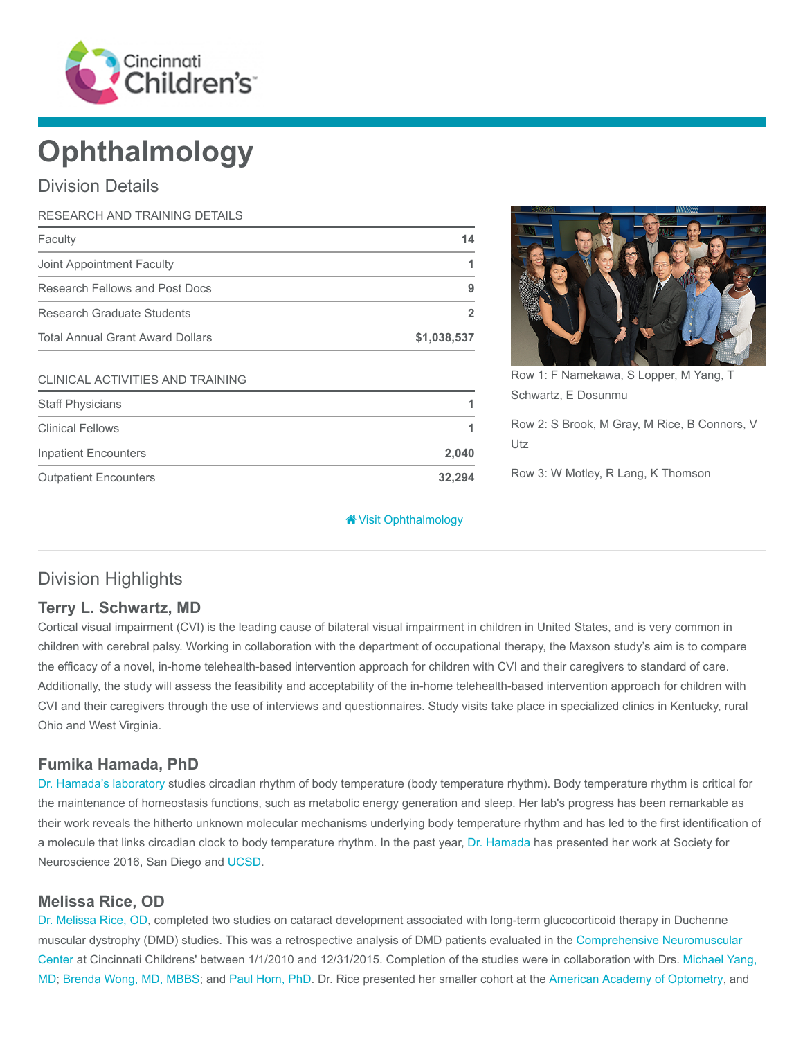

# **Ophthalmology**

# Division Details

| RESEARCH AND TRAINING DETAILS           |             |
|-----------------------------------------|-------------|
| Faculty                                 | 14          |
| Joint Appointment Faculty               |             |
| Research Fellows and Post Docs          | g           |
| Research Graduate Students              |             |
| <b>Total Annual Grant Award Dollars</b> | \$1,038,537 |

#### CLINICAL ACTIVITIES AND TRAINING

| <b>Staff Physicians</b>      |        |
|------------------------------|--------|
| <b>Clinical Fellows</b>      |        |
| <b>Inpatient Encounters</b>  | 2.040  |
| <b>Outpatient Encounters</b> | 32.294 |

Row 1: F Namekawa, S Lopper, M Yang, T Schwartz, E Dosunmu

Row 2: S Brook, M Gray, M Rice, B Connors, V Utz

Row 3: W Motley, R Lang, K Thomson

#### [Visit Ophthalmology](https://www.cincinnatichildrens.org/research/divisions/o/ophthalmology)

# Division Highlights

#### Terry L. Schwartz, MD

Cortical visual impairment (CVI) is the leading cause of bilateral visual impairment in children in United States, and is very common in children with cerebral palsy. Working in collaboration with the department of occupational therapy, the Maxson study's aim is to compare the efficacy of a novel, in-home telehealth-based intervention approach for children with CVI and their caregivers to standard of care. Additionally, the study will assess the feasibility and acceptability of the in-home telehealth-based intervention approach for children with CVI and their caregivers through the use of interviews and questionnaires. Study visits take place in specialized clinics in Kentucky, rural Ohio and West Virginia.

#### Fumika Hamada, PhD

[Dr. Hamada's laboratory](https://www.cincinnatichildrens.org/research/divisions/o/ophthalmology/labs/hamada) studies circadian rhythm of body temperature (body temperature rhythm). Body temperature rhythm is critical for the maintenance of homeostasis functions, such as metabolic energy generation and sleep. Her lab's progress has been remarkable as their work reveals the hitherto unknown molecular mechanisms underlying body temperature rhythm and has led to the first identification of a molecule that links circadian clock to body temperature rhythm. In the past year, [Dr. Hamada](https://www.cincinnatichildrens.org/bio/h/fumika-hamada) has presented her work at Society for Neuroscience 2016, San Diego and [UCSD](https://ucsd.edu/).

#### Melissa Rice, OD

[Dr. Melissa Rice, OD](https://www.cincinnatichildrens.org/bio/r/melissa-l-rice), completed two studies on cataract development associated with long-term glucocorticoid therapy in Duchenne [muscular dystrophy \(DMD\) studies. This was a retrospective analysis of DMD patients evaluated in the Comprehensive Neuromuscular](https://www.cincinnatichildrens.org/service/c/neuromuscular) [Center at Cincinnati Childrens' between 1/1/2010 and 12/31/2015. Completion of the studies were in collaboration with Drs. Michael Yang,](https://www.cincinnatichildrens.org/bio/y/michael-yang) MD; [Brenda Wong, MD, MBBS](https://www.cincinnatichildrens.org/bio/w/brenda-wong); and [Paul Horn, PhD.](https://www.cincinnatichildrens.org/bio/h/paul-horn) Dr. Rice presented her smaller cohort at the [American Academy of Optometry,](http://www.aaopt.org/) and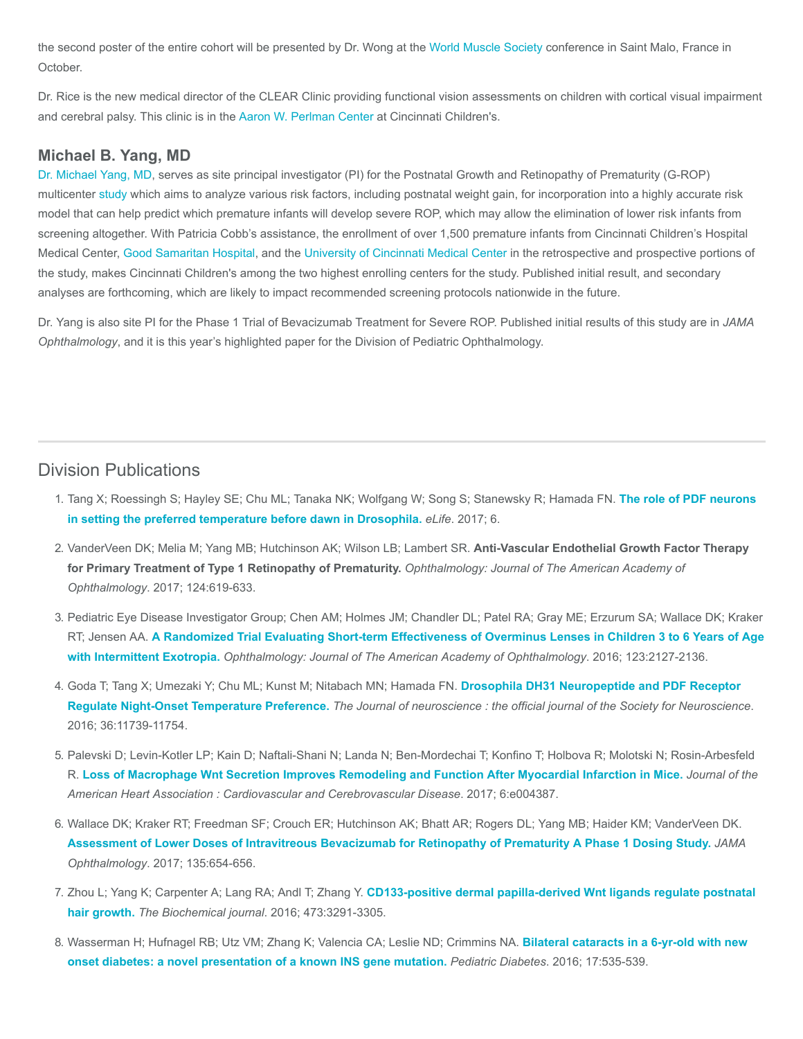the second poster of the entire cohort will be presented by Dr. Wong at the [World Muscle Society](https://www.worldmusclesociety.org/) conference in Saint Malo, France in October.

Dr. Rice is the new medical director of the CLEAR Clinic providing functional vision assessments on children with cortical visual impairment and cerebral palsy. This clinic is in the [Aaron W. Perlman Center](https://www.cincinnatichildrens.org/service/a/aaron-perlman-center) at Cincinnati Children's.

#### Michael B. Yang, MD

[Dr. Michael Yang, MD,](https://www.cincinnatichildrens.org/bio/y/michael-yang) serves as site principal investigator (PI) for the Postnatal Growth and Retinopathy of Prematurity (G-ROP) multicenter [study](http://grantome.com/grant/NIH/R01-EY021137-02) which aims to analyze various risk factors, including postnatal weight gain, for incorporation into a highly accurate risk model that can help predict which premature infants will develop severe ROP, which may allow the elimination of lower risk infants from screening altogether. With Patricia Cobb's assistance, the enrollment of over 1,500 premature infants from Cincinnati Children's Hospital Medical Center, [Good Samaritan Hospital,](https://www.trihealth.com/hospitals-and-practices/good-samaritan-hospital/) and the [University of Cincinnati Medical Center](http://uchealth.com/university-of-cincinnati-medical-center/) in the retrospective and prospective portions of the study, makes Cincinnati Children's among the two highest enrolling centers for the study. Published initial result, and secondary analyses are forthcoming, which are likely to impact recommended screening protocols nationwide in the future.

Dr. Yang is also site PI for the Phase 1 Trial of Bevacizumab Treatment for Severe ROP. Published initial results of this study are in JAMA Ophthalmology, and it is this year's highlighted paper for the Division of Pediatric Ophthalmology.

### Division Publications

- 1. [Tang X; Roessingh S; Hayley SE; Chu ML; Tanaka NK; Wolfgang W; Song S; Stanewsky R; Hamada FN.](https://www.ncbi.nlm.nih.gov/pubmed/28463109) The role of PDF neurons in setting the preferred temperature before dawn in Drosophila. eLife. 2017; 6.
- 2. VanderVeen DK; Melia M; Yang MB; Hutchinson AK; Wilson LB; Lambert SR. Anti-Vascular Endothelial Growth Factor Therapy for Primary Treatment of Type 1 Retinopathy of Prematurity. Ophthalmology: Journal of The American Academy of Ophthalmology. 2017; 124:619-633.
- 3. Pediatric Eye Disease Investigator Group; Chen AM; Holmes JM; Chandler DL; Patel RA; Gray ME; Erzurum SA; Wallace DK; Kraker RT; Jensen AA. [A Randomized Trial Evaluating Short-term Effectiveness of Overminus Lenses in Children 3 to 6 Years of Age](https://www.ncbi.nlm.nih.gov/pubmed/27506485) with Intermittent Exotropia. Ophthalmology: Journal of The American Academy of Ophthalmology. 2016; 123:2127-2136.
- 4. [Goda T; Tang X; Umezaki Y; Chu ML; Kunst M; Nitabach MN; Hamada FN.](https://www.ncbi.nlm.nih.gov/pubmed/27852781) Drosophila DH31 Neuropeptide and PDF Receptor Regulate Night-Onset Temperature Preference. The Journal of neuroscience : the official journal of the Society for Neuroscience. 2016; 36:11739-11754.
- 5. Palevski D; Levin-Kotler LP; Kain D; Naftali-Shani N; Landa N; Ben-Mordechai T; Konfino T; Holbova R; Molotski N; Rosin-Arbesfeld R. [Loss of Macrophage Wnt Secretion Improves Remodeling and Function After Myocardial Infarction in Mice.](https://www.ncbi.nlm.nih.gov/pubmed/28062479) Journal of the American Heart Association : Cardiovascular and Cerebrovascular Disease. 2017; 6:e004387.
- 6. Wallace DK; Kraker RT; Freedman SF; Crouch ER; Hutchinson AK; Bhatt AR; Rogers DL; Yang MB; Haider KM; VanderVeen DK. [Assessment of Lower Doses of Intravitreous Bevacizumab for Retinopathy of Prematurity A Phase 1 Dosing Study.](https://www.ncbi.nlm.nih.gov/pubmed/28448664) JAMA Ophthalmology. 2017; 135:654-656.
- 7. Zhou L; Yang K; Carpenter A; Lang RA; Andl T; Zhang Y. [CD133-positive dermal papilla-derived Wnt ligands regulate postnatal](https://www.ncbi.nlm.nih.gov/pubmed/27462123) hair growth. The Biochemical journal. 2016; 473:3291-3305.
- 8. [Wasserman H; Hufnagel RB; Utz VM; Zhang K; Valencia CA; Leslie ND; Crimmins NA.](https://www.ncbi.nlm.nih.gov/pubmed/26530398) Bilateral cataracts in a 6-yr-old with new onset diabetes: a novel presentation of a known INS gene mutation. Pediatric Diabetes. 2016; 17:535-539.